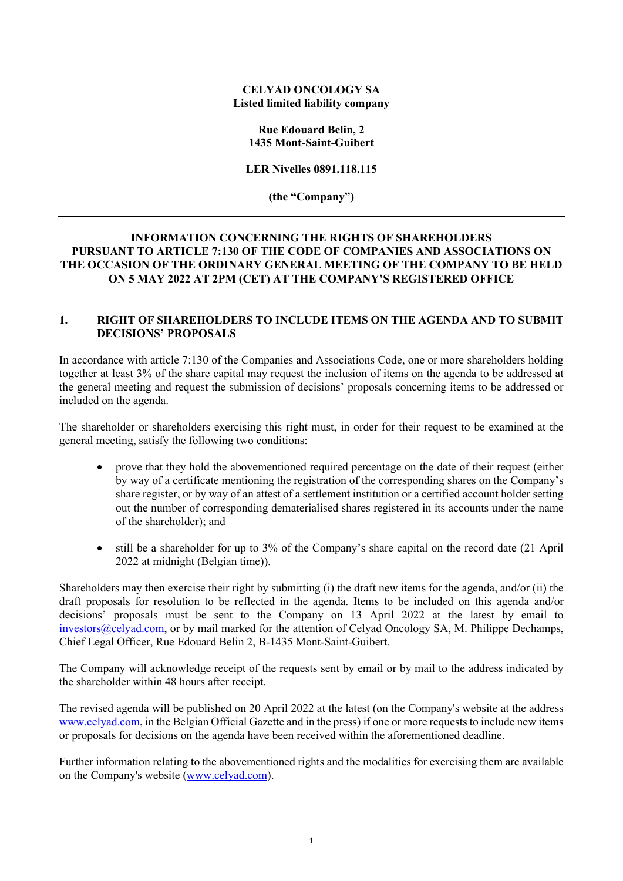#### **CELYAD ONCOLOGY SA Listed limited liability company**

#### **Rue Edouard Belin, 2 1435 Mont-Saint-Guibert**

**LER Nivelles 0891.118.115**

**(the "Company")**

# **INFORMATION CONCERNING THE RIGHTS OF SHAREHOLDERS PURSUANT TO ARTICLE 7:130 OF THE CODE OF COMPANIES AND ASSOCIATIONS ON THE OCCASION OF THE ORDINARY GENERAL MEETING OF THE COMPANY TO BE HELD ON 5 MAY 2022 AT 2PM (CET) AT THE COMPANY'S REGISTERED OFFICE**

### **1. RIGHT OF SHAREHOLDERS TO INCLUDE ITEMS ON THE AGENDA AND TO SUBMIT DECISIONS' PROPOSALS**

In accordance with article 7:130 of the Companies and Associations Code, one or more shareholders holding together at least 3% of the share capital may request the inclusion of items on the agenda to be addressed at the general meeting and request the submission of decisions' proposals concerning items to be addressed or included on the agenda.

The shareholder or shareholders exercising this right must, in order for their request to be examined at the general meeting, satisfy the following two conditions:

- prove that they hold the abovementioned required percentage on the date of their request (either by way of a certificate mentioning the registration of the corresponding shares on the Company's share register, or by way of an attest of a settlement institution or a certified account holder setting out the number of corresponding dematerialised shares registered in its accounts under the name of the shareholder); and
- still be a shareholder for up to 3% of the Company's share capital on the record date (21 April 2022 at midnight (Belgian time)).

Shareholders may then exercise their right by submitting (i) the draft new items for the agenda, and/or (ii) the draft proposals for resolution to be reflected in the agenda. Items to be included on this agenda and/or decisions' proposals must be sent to the Company on 13 April 2022 at the latest by email to [investors@celyad.com,](mailto:investors@celyad.com) or by mail marked for the attention of Celyad Oncology SA, M. Philippe Dechamps, Chief Legal Officer, Rue Edouard Belin 2, B-1435 Mont-Saint-Guibert.

The Company will acknowledge receipt of the requests sent by email or by mail to the address indicated by the shareholder within 48 hours after receipt.

The revised agenda will be published on 20 April 2022 at the latest (on the Company's website at the address [www.celyad.com,](http://www.celyad.com/) in the Belgian Official Gazette and in the press) if one or more requests to include new items or proposals for decisions on the agenda have been received within the aforementioned deadline.

Further information relating to the abovementioned rights and the modalities for exercising them are available on the Company's website [\(www.celyad.com\)](http://www.celyad.com/).